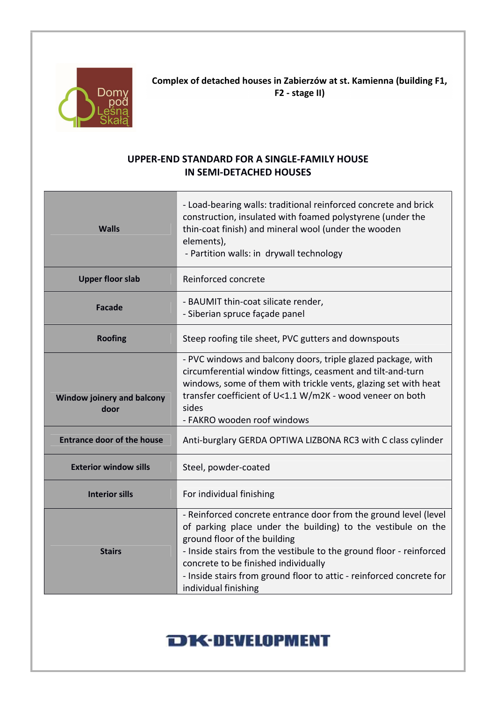

Complex of detached houses in Zabierzów at st. Kamienna (building F1, F2 - stage II)

## UPPER-END STANDARD FOR A SINGLE-FAMILY HOUSE IN SEMI-DETACHED HOUSES

| <b>Walls</b>                       | - Load-bearing walls: traditional reinforced concrete and brick<br>construction, insulated with foamed polystyrene (under the<br>thin-coat finish) and mineral wool (under the wooden<br>elements),<br>- Partition walls: in drywall technology                                                                                                                                 |
|------------------------------------|---------------------------------------------------------------------------------------------------------------------------------------------------------------------------------------------------------------------------------------------------------------------------------------------------------------------------------------------------------------------------------|
| <b>Upper floor slab</b>            | Reinforced concrete                                                                                                                                                                                                                                                                                                                                                             |
| <b>Facade</b>                      | - BAUMIT thin-coat silicate render,<br>- Siberian spruce façade panel                                                                                                                                                                                                                                                                                                           |
| <b>Roofing</b>                     | Steep roofing tile sheet, PVC gutters and downspouts                                                                                                                                                                                                                                                                                                                            |
| Window joinery and balcony<br>door | - PVC windows and balcony doors, triple glazed package, with<br>circumferential window fittings, ceasment and tilt-and-turn<br>windows, some of them with trickle vents, glazing set with heat<br>transfer coefficient of U<1.1 W/m2K - wood veneer on both<br>sides<br>- FAKRO wooden roof windows                                                                             |
| <b>Entrance door of the house</b>  | Anti-burglary GERDA OPTIWA LIZBONA RC3 with C class cylinder                                                                                                                                                                                                                                                                                                                    |
| <b>Exterior window sills</b>       | Steel, powder-coated                                                                                                                                                                                                                                                                                                                                                            |
| <b>Interior sills</b>              | For individual finishing                                                                                                                                                                                                                                                                                                                                                        |
| <b>Stairs</b>                      | - Reinforced concrete entrance door from the ground level (level<br>of parking place under the building) to the vestibule on the<br>ground floor of the building<br>- Inside stairs from the vestibule to the ground floor - reinforced<br>concrete to be finished individually<br>- Inside stairs from ground floor to attic - reinforced concrete for<br>individual finishing |

## **DK-DEVELOPMENT**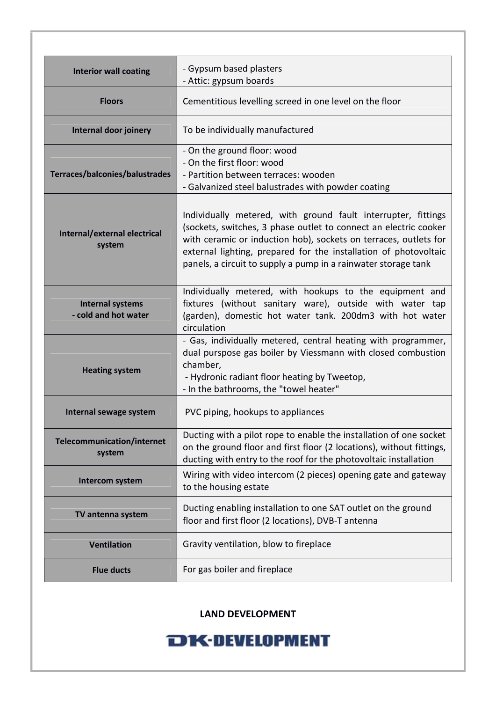| <b>Interior wall coating</b>                    | - Gypsum based plasters<br>- Attic: gypsum boards                                                                                                                                                                                                                                                                                           |
|-------------------------------------------------|---------------------------------------------------------------------------------------------------------------------------------------------------------------------------------------------------------------------------------------------------------------------------------------------------------------------------------------------|
| <b>Floors</b>                                   | Cementitious levelling screed in one level on the floor                                                                                                                                                                                                                                                                                     |
| Internal door joinery                           | To be individually manufactured                                                                                                                                                                                                                                                                                                             |
| Terraces/balconies/balustrades                  | - On the ground floor: wood<br>- On the first floor: wood<br>- Partition between terraces: wooden<br>- Galvanized steel balustrades with powder coating                                                                                                                                                                                     |
| Internal/external electrical<br>system          | Individually metered, with ground fault interrupter, fittings<br>(sockets, switches, 3 phase outlet to connect an electric cooker<br>with ceramic or induction hob), sockets on terraces, outlets for<br>external lighting, prepared for the installation of photovoltaic<br>panels, a circuit to supply a pump in a rainwater storage tank |
| <b>Internal systems</b><br>- cold and hot water | Individually metered, with hookups to the equipment and<br>fixtures (without sanitary ware), outside with water tap<br>(garden), domestic hot water tank. 200dm3 with hot water<br>circulation                                                                                                                                              |
| <b>Heating system</b>                           | - Gas, individually metered, central heating with programmer,<br>dual purspose gas boiler by Viessmann with closed combustion<br>chamber,<br>- Hydronic radiant floor heating by Tweetop,<br>- In the bathrooms, the "towel heater"                                                                                                         |
| Internal sewage system                          | PVC piping, hookups to appliances                                                                                                                                                                                                                                                                                                           |
| <b>Telecommunication/internet</b><br>system     | Ducting with a pilot rope to enable the installation of one socket<br>on the ground floor and first floor (2 locations), without fittings,<br>ducting with entry to the roof for the photovoltaic installation                                                                                                                              |
| Intercom system                                 | Wiring with video intercom (2 pieces) opening gate and gateway<br>to the housing estate                                                                                                                                                                                                                                                     |
| TV antenna system                               | Ducting enabling installation to one SAT outlet on the ground<br>floor and first floor (2 locations), DVB-T antenna                                                                                                                                                                                                                         |
| <b>Ventilation</b>                              | Gravity ventilation, blow to fireplace                                                                                                                                                                                                                                                                                                      |
| <b>Flue ducts</b>                               | For gas boiler and fireplace                                                                                                                                                                                                                                                                                                                |

LAND DEVELOPMENT

## **DK-DEVELOPMENT**